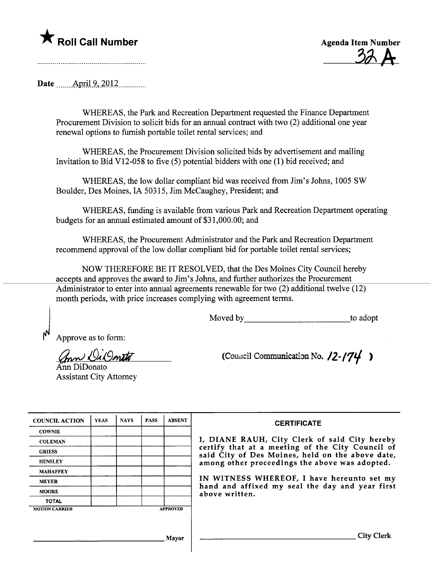\* Roll Call Number<br>Agenda Item Number<br>A<br>A<br>A

Date  $\quad$  April 9, 2012

WHEREAS, the Park and Recreation Deparment requested the Finance Deparment Procurement Division to solicit bids for an anual contract with two (2) additional one year renewal options to furnish portable toilet rental services; and

WHEREAS, the Procurement Division solicited bids by advertisement and mailing Invitation to Bid V12-058 to five (5) potential bidders with one (1) bid received; and

WHEREAS, the low dollar compliant bid was received from Jim's Johns, 1005 SW Boulder, Des Moines, IA 50315, Jim McCaughey, President; and

WHEREAS, fuding is available from various Park and Recreation Deparment operating budgets for an annual estimated amount of \$31,000.00; and

WHEREAS, the Procurement Administrator and the Park and Recreation Deparment recommend approval of the low dollar compliant bid for portable toilet rental services;

NOW THEREFORE BE IT RESOLVED, that the Des Moines City Council hereby accepts and approves the award to Jim's Johns, and further authorizes the Procurement Administrator to enter into anual agreements renewable for two (2) additional twelve (12) month periods, with price increases complying with agreement terms.

Moved by to adopt

) Approve as to form:

(Inn De Donato

An DiDonato Assistant City Attorney (Council Communication No.  $12-(74)$ )

| <b>COUNCIL ACTION</b> | <b>YEAS</b> | <b>NAYS</b> | <b>PASS</b> | <b>ABSENT</b>   |
|-----------------------|-------------|-------------|-------------|-----------------|
| <b>COWNIE</b>         |             |             |             |                 |
| <b>COLEMAN</b>        |             |             |             |                 |
| <b>GRIESS</b>         |             |             |             |                 |
| <b>HENSLEY</b>        |             |             |             |                 |
| <b>MAHAFFEY</b>       |             |             |             |                 |
| <b>MEYER</b>          |             |             |             |                 |
| <b>MOORE</b>          |             |             |             |                 |
| <b>TOTAL</b>          |             |             |             |                 |
| <b>MOTION CARRIED</b> |             |             |             | <b>APPROVED</b> |

## **CERTIFICATE**

I, DIANE RAUH, City Clerk of said City hereby certify that at a meeting of the City Council of said City of Des Moines, held on the above date, among other proceedings the above was adopted.

IN WITNESS WHEREOF, I have hereunto set my hand and affixed my seal the day and year first above written.